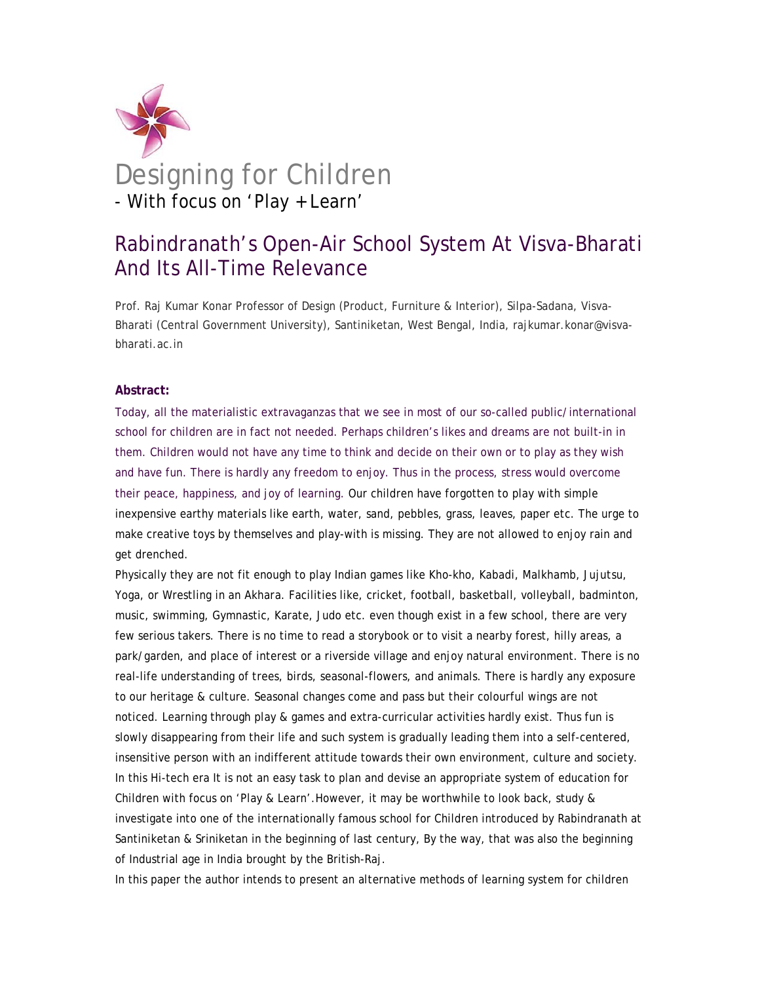

# Designing for Children - With focus on 'Play + Learn'

## Rabindranath's Open-Air School System At Visva-Bharati And Its All-Time Relevance

Prof. Raj Kumar Konar Professor of Design (Product, Furniture & Interior), Silpa-Sadana, Visva-Bharati (Central Government University), Santiniketan, West Bengal, India, rajkumar.konar@visvabharati.ac.in

#### **Abstract:**

Today, all the materialistic extravaganzas that we see in most of our so-called public/international school for children are in fact not needed. Perhaps children's likes and dreams are not built-in in them. Children would not have any time to think and decide on their own or to play as they wish and have fun. There is hardly any freedom to enjoy. Thus in the process, stress would overcome their peace, happiness, and joy of learning. Our children have forgotten to play with simple inexpensive earthy materials like earth, water, sand, pebbles, grass, leaves, paper etc. The urge to make creative toys by themselves and play-with is missing. They are not allowed to enjoy rain and get drenched.

Physically they are not fit enough to play Indian games like *Kho-kho, Kabadi, Malkhamb, Jujutsu, Yoga, or* Wrestling in an *Akhara.* Facilities like, cricket, football, basketball, volleyball, badminton, music, swimming, Gymnastic, Karate, Judo etc. even though exist in a few school, there are very few serious takers. There is no time to read a storybook or to visit a nearby forest, hilly areas, a park/garden, and place of interest or a riverside village and enjoy natural environment. There is no real-life understanding of trees, birds, seasonal-flowers, and animals. There is hardly any exposure to our heritage & culture. Seasonal changes come and pass but their colourful wings are not noticed. Learning through play & games and extra-curricular activities hardly exist. Thus fun is slowly disappearing from their life and such system is gradually leading them into a self-centered, insensitive person with an indifferent attitude towards their own environment, culture and society. In this Hi-tech era It is not an easy task to plan and devise an appropriate system of education for Children with focus on 'Play & Learn'.However, it may be worthwhile to look back, study & investigate into one of the internationally famous school for Children introduced by Rabindranath at Santiniketan & Sriniketan in the beginning of last century, By the way, that was also the beginning of Industrial age in India brought by the British-Raj.

In this paper the author intends to present an alternative methods of learning system for children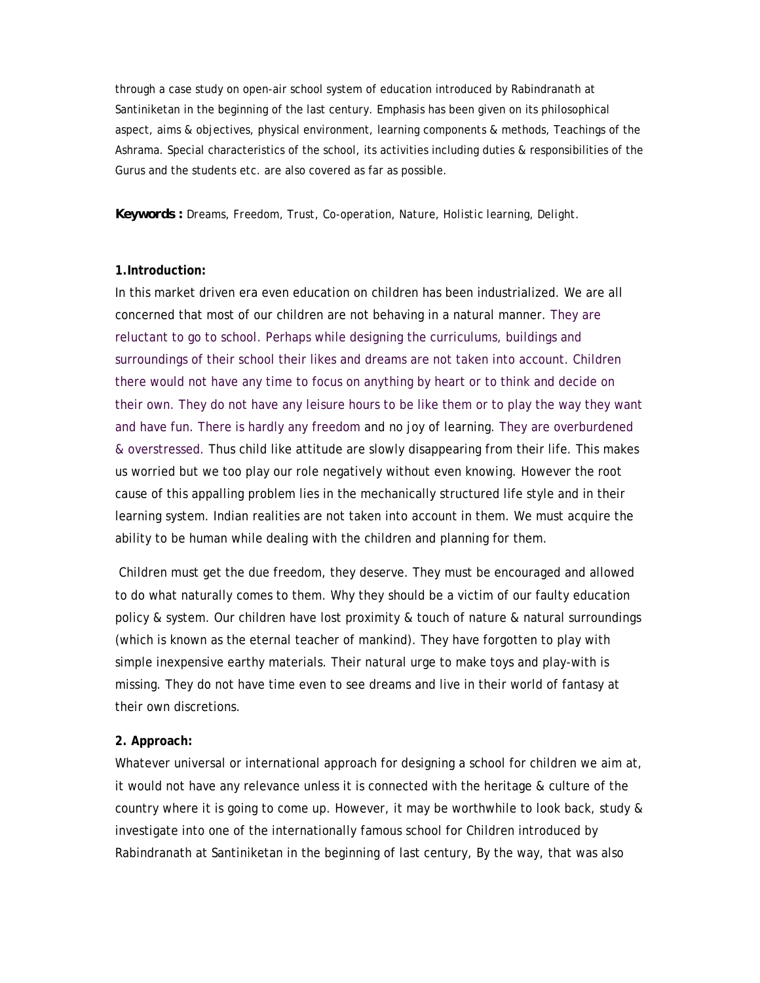through a case study on open-air school system of education introduced by Rabindranath at Santiniketan in the beginning of the last century. Emphasis has been given on its philosophical aspect, aims & objectives, physical environment, learning components & methods, Teachings of the Ashrama. Special characteristics of the school, its activities including duties & responsibilities of the Gurus and the students etc. are also covered as far as possible.

#### *Keywords : Dreams, Freedom, Trust, Co-operation, Nature, Holistic learning, Delight.*

#### **1.Introduction:**

In this market driven era even education on children has been industrialized. We are all concerned that most of our children are not behaving in a natural manner. They are reluctant to go to school. Perhaps while designing the curriculums, buildings and surroundings of their school their likes and dreams are not taken into account. Children there would not have any time to focus on anything by heart or to think and decide on their own. They do not have any leisure hours to be like them or to play the way they want and have fun. There is hardly any freedom and no joy of learning. They are overburdened & overstressed. Thus child like attitude are slowly disappearing from their life. This makes us worried but we too play our role negatively without even knowing. However the root cause of this appalling problem lies in the mechanically structured life style and in their learning system. Indian realities are not taken into account in them. We must acquire the ability to be human while dealing with the children and planning for them.

 Children must get the due freedom, they deserve. They must be encouraged and allowed to do what naturally comes to them. Why they should be a victim of our faulty education policy & system. Our children have lost proximity & touch of nature & natural surroundings (which is known as the eternal teacher of mankind). They have forgotten to play with simple inexpensive earthy materials. Their natural urge to make toys and play-with is missing. They do not have time even to see dreams and live in their world of fantasy at their own discretions.

#### **2. Approach:**

Whatever universal or international approach for designing a school for children we aim at, it would not have any relevance unless it is connected with the heritage & culture of the country where it is going to come up. However, it may be worthwhile to look back, study & investigate into one of the internationally famous school for Children introduced by Rabindranath at Santiniketan in the beginning of last century, By the way, that was also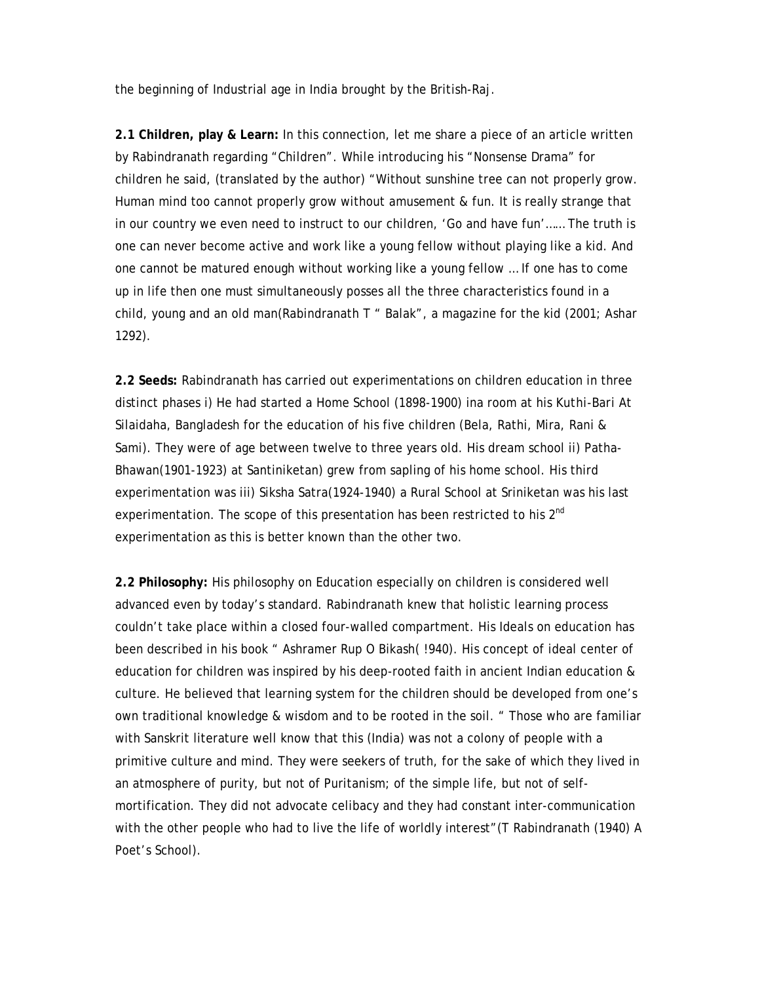the beginning of Industrial age in India brought by the British-Raj.

**2.1 Children, play & Learn:** In this connection, let me share a piece of an article written by Rabindranath regarding "Children". While introducing his "Nonsense Drama" for children he said, (translated by the author) "Without sunshine tree can not properly grow. Human mind too cannot properly grow without amusement & fun. It is really strange that in our country we even need to instruct to our children, 'Go and have fun'…… The truth is one can never become active and work like a young fellow without playing like a kid. And one cannot be matured enough without working like a young fellow … If one has to come up in life then one must simultaneously posses all the three characteristics found in a child, young and an old man(Rabindranath T " Balak", a magazine for the kid (2001; *Ashar 1292*).

**2.2 Seeds:** Rabindranath has carried out experimentations on children education in three distinct phases i) He had started a Home School (1898-1900) ina room at his *Kuthi-Bari* At Silaidaha, Bangladesh for the education of his five children (Bela, Rathi, Mira, Rani & Sami). They were of age between twelve to three years old. His dream school ii) Patha-Bhawan(1901-1923) at Santiniketan) grew from sapling of his home school. His third experimentation was iii) Siksha Satra(1924-1940) a Rural School at Sriniketan was his last experimentation. The scope of this presentation has been restricted to his 2<sup>nd</sup> experimentation as this is better known than the other two.

**2.2 Philosophy:** His philosophy on Education especially on children is considered well advanced even by today's standard. Rabindranath knew that holistic learning process couldn't take place within a closed four-walled compartment. His Ideals on education has been described in his book " Ashramer Rup O Bikash( !940). His concept of ideal center of education for children was inspired by his deep-rooted faith in ancient Indian education & culture. He believed that learning system for the children should be developed from one's own traditional knowledge & wisdom and to be rooted in the soil. " Those who are familiar with Sanskrit literature well know that this (India) was not a colony of people with a primitive culture and mind. They were seekers of truth, for the sake of which they lived in an atmosphere of purity, but not of Puritanism; of the simple life, but not of selfmortification. They did not advocate celibacy and they had constant inter-communication with the other people who had to live the life of worldly interest"(T Rabindranath (1940) A Poet's School).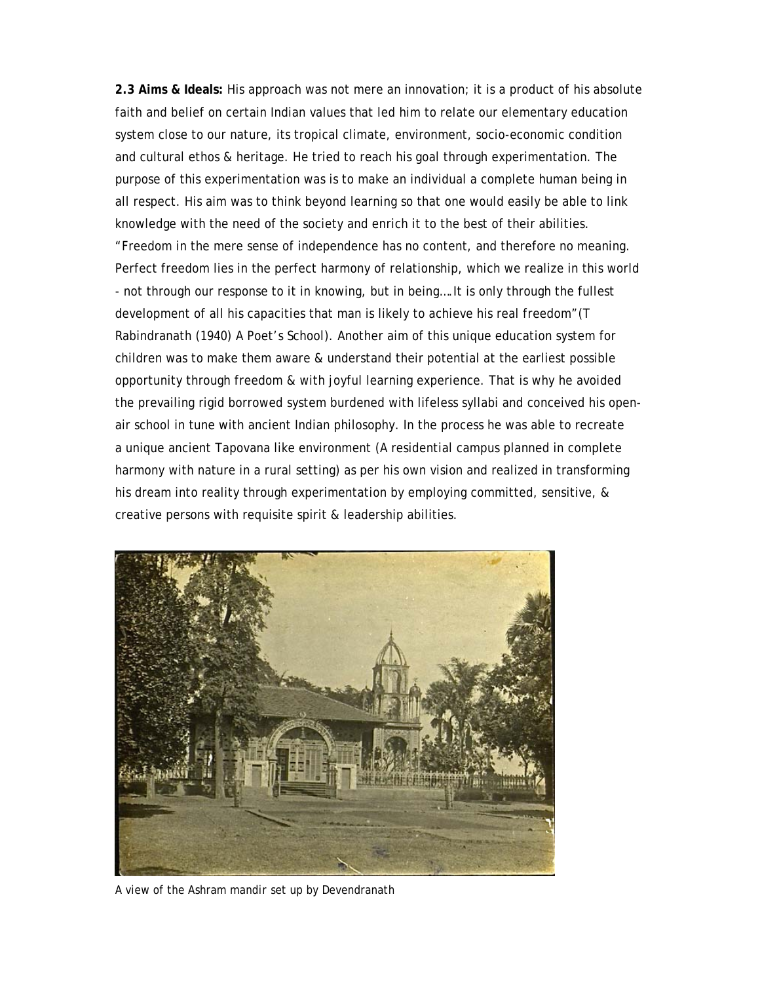**2.3 Aims & Ideals:** His approach was not mere an innovation; it is a product of his absolute faith and belief on certain Indian values that led him to relate our elementary education system close to our nature, its tropical climate, environment, socio-economic condition and cultural ethos & heritage. He tried to reach his goal through experimentation. The purpose of this experimentation was is to make an individual a complete human being in all respect. His aim was to think beyond learning so that one would easily be able to link knowledge with the need of the society and enrich it to the best of their abilities. "Freedom in the mere sense of independence has no content, and therefore no meaning. Perfect freedom lies in the perfect harmony of relationship, which we realize in this world - not through our response to it in knowing, but in being….It is only through the fullest development of all his capacities that man is likely to achieve his real freedom"(T Rabindranath (1940) A Poet's School). Another aim of this unique education system for children was to make them aware & understand their potential at the earliest possible opportunity through freedom & with joyful learning experience. That is why he avoided the prevailing rigid borrowed system burdened with lifeless syllabi and conceived his openair school in tune with ancient Indian philosophy. In the process he was able to recreate a unique ancient *Tapovana* like environment (A residential campus planned in complete harmony with nature in a rural setting) as per his own vision and realized in transforming his dream into reality through experimentation by employing committed, sensitive, & creative persons with requisite spirit & leadership abilities.



A view of the Ashram *mandir* set up by Devendranath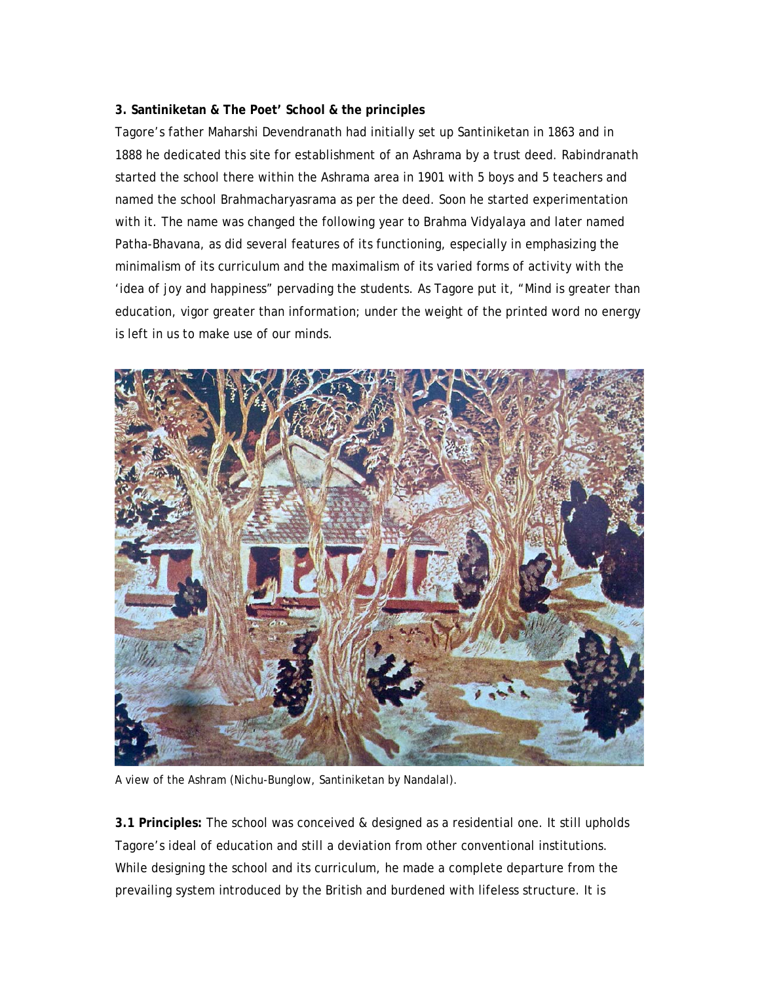### **3. Santiniketan & The Poet' School & the principles**

Tagore's father Maharshi Devendranath had initially set up Santiniketan in 1863 and in 1888 he dedicated this site for establishment of an Ashrama by a trust deed. Rabindranath started the school there within the Ashrama area in 1901 with 5 boys and 5 teachers and named the school Brahmacharyasrama as per the deed. Soon he started experimentation with it. The name was changed the following year to Brahma Vidyalaya and later named Patha-Bhavana, as did several features of its functioning, especially in emphasizing the minimalism of its curriculum and the maximalism of its varied forms of activity with the 'idea of joy and happiness" pervading the students. As Tagore put it, "Mind is greater than education, vigor greater than information; under the weight of the printed word no energy is left in us to make use of our minds.



A view of the Ashram (Nichu-Bunglow, Santiniketan by Nandalal).

**3.1 Principles:** The school was conceived & designed as a residential one. It still upholds Tagore's ideal of education and still a deviation from other conventional institutions. While designing the school and its curriculum, he made a complete departure from the prevailing system introduced by the British and burdened with lifeless structure. It is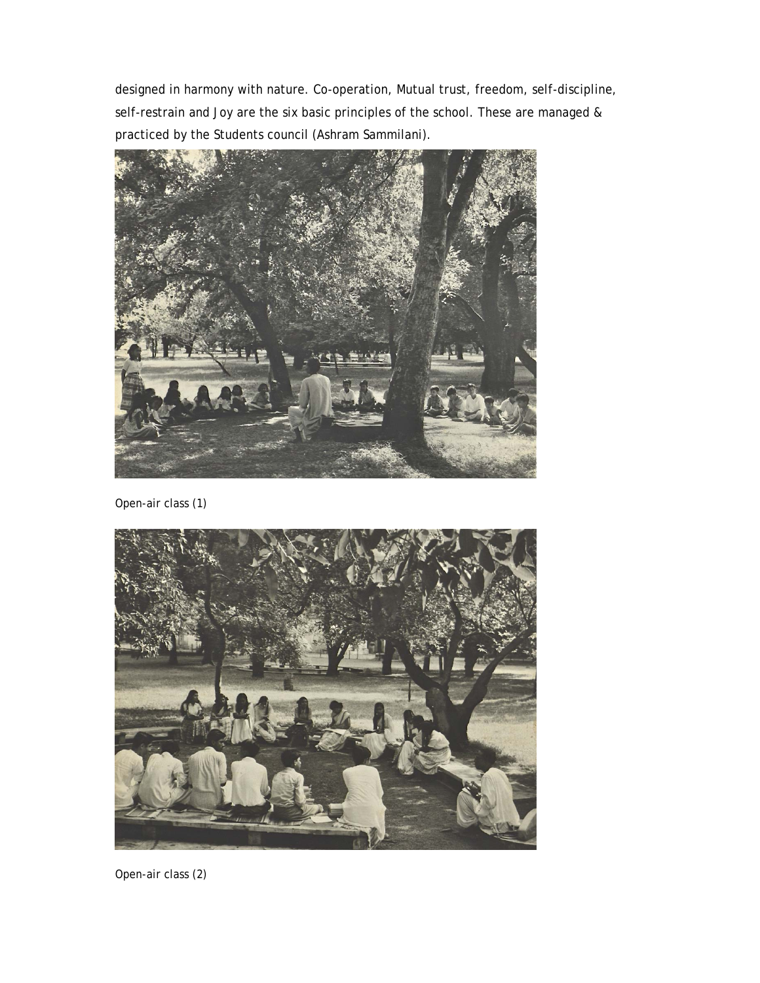designed in harmony with nature. Co-operation, Mutual trust, freedom, self-discipline, self-restrain and Joy are the six basic principles of the school. These are managed & practiced by the Students council (Ashram Sammilani).



Open-air class (1)



Open-air class (2)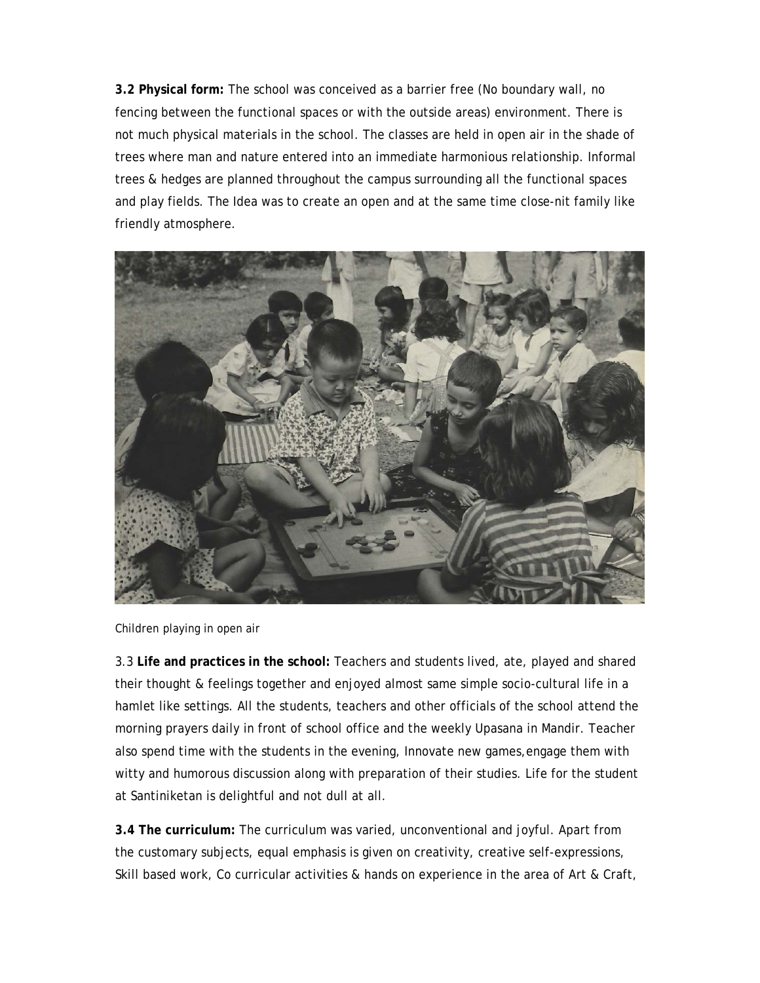**3.2 Physical form:** The school was conceived as a barrier free (No boundary wall, no fencing between the functional spaces or with the outside areas) environment. There is not much physical materials in the school. The classes are held in open air in the shade of trees where man and nature entered into an immediate harmonious relationship. Informal trees & hedges are planned throughout the campus surrounding all the functional spaces and play fields. The Idea was to create an open and at the same time close-nit family like friendly atmosphere.



Children playing in open air

3.3 **Life and practices in the school:** Teachers and students lived, ate, played and shared their thought & feelings together and enjoyed almost same simple socio-cultural life in a hamlet like settings. All the students, teachers and other officials of the school attend the morning prayers daily in front of school office and the weekly Upasana in Mandir. Teacher also spend time with the students in the evening, Innovate new games,engage them with witty and humorous discussion along with preparation of their studies. Life for the student at Santiniketan is delightful and not dull at all.

**3.4 The curriculum:** The curriculum was varied, unconventional and joyful. Apart from the customary subjects, equal emphasis is given on creativity, creative self-expressions, Skill based work, Co curricular activities & hands on experience in the area of Art & Craft,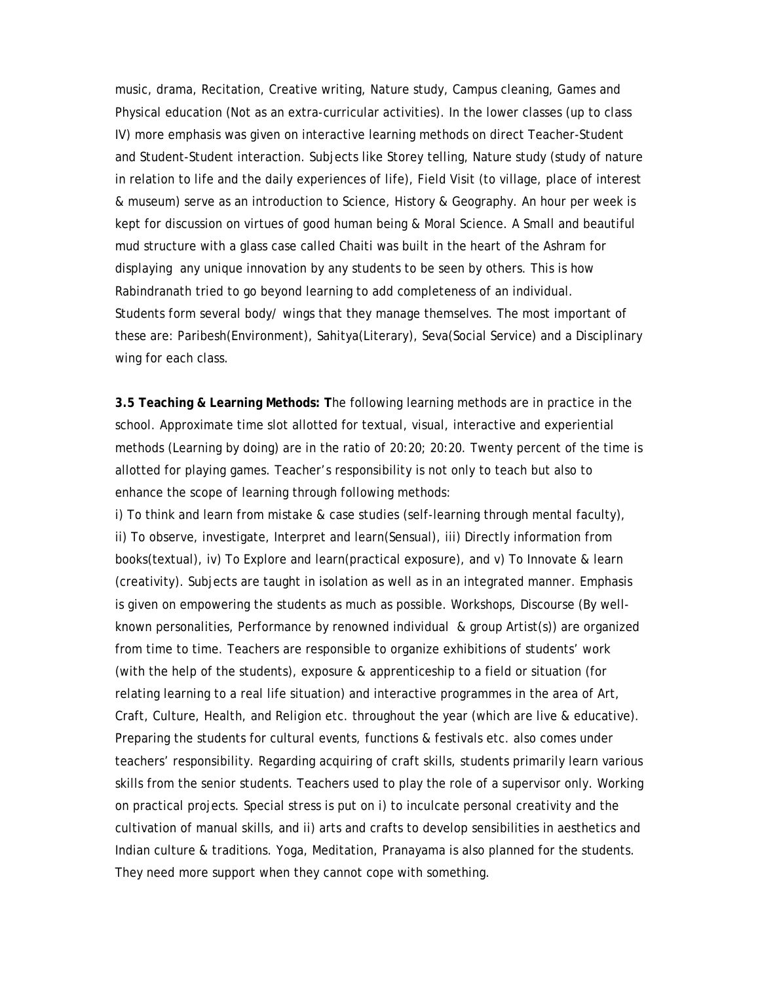music, drama, Recitation, Creative writing, Nature study, Campus cleaning, Games and Physical education (Not as an extra-curricular activities). In the lower classes (up to class IV) more emphasis was given on interactive learning methods on direct Teacher-Student and Student-Student interaction. Subjects like Storey telling, Nature study (study of nature in relation to life and the daily experiences of life), Field Visit (to village, place of interest & museum) serve as an introduction to Science, History & Geography. An hour per week is kept for discussion on virtues of good human being & Moral Science. A Small and beautiful mud structure with a glass case called Chaiti was built in the heart of the Ashram for displaying any unique innovation by any students to be seen by others. This is how Rabindranath tried to go beyond learning to add completeness of an individual. Students form several body/ wings that they manage themselves. The most important of these are: Paribesh(Environment), Sahitya(Literary), Seva(Social Service) and a Disciplinary wing for each class.

**3.5 Teaching & Learning Methods: T**he following learning methods are in practice in the school. Approximate time slot allotted for textual, visual, interactive and experiential methods (Learning by doing) are in the ratio of 20:20; 20:20. Twenty percent of the time is allotted for playing games. Teacher's responsibility is not only to teach but also to enhance the scope of learning through following methods:

i) To think and learn from mistake & case studies (self-learning through mental faculty), ii) To observe, investigate, Interpret and learn(Sensual), iii) Directly information from books(textual), iv) To Explore and learn(practical exposure), and v) To Innovate & learn (creativity). Subjects are taught in isolation as well as in an integrated manner. Emphasis is given on empowering the students as much as possible. Workshops, Discourse (By wellknown personalities, Performance by renowned individual & group Artist(s)) are organized from time to time. Teachers are responsible to organize exhibitions of students' work (with the help of the students), exposure & apprenticeship to a field or situation (for relating learning to a real life situation) and interactive programmes in the area of Art, Craft, Culture, Health, and Religion etc. throughout the year (which are live & educative). Preparing the students for cultural events, functions & festivals etc. also comes under teachers' responsibility. Regarding acquiring of craft skills, students primarily learn various skills from the senior students. Teachers used to play the role of a supervisor only. Working on practical projects. Special stress is put on i) to inculcate personal creativity and the cultivation of manual skills, and ii) arts and crafts to develop sensibilities in aesthetics and Indian culture & traditions. Yoga, Meditation, Pranayama is also planned for the students. They need more support when they cannot cope with something.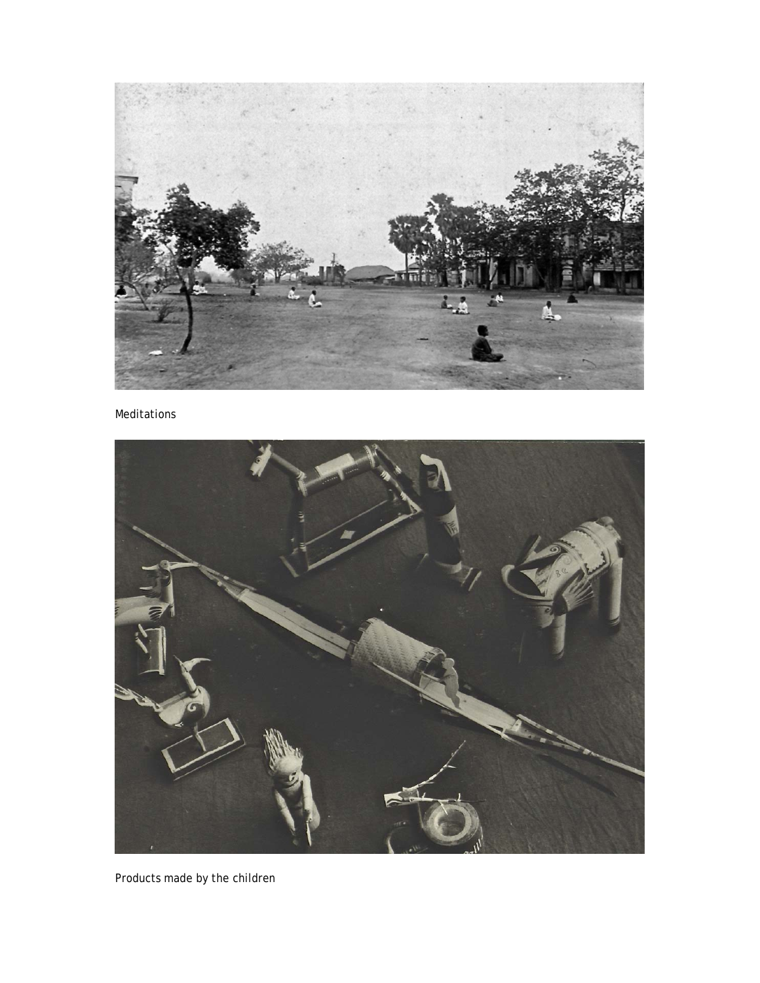

Meditations



Products made by the children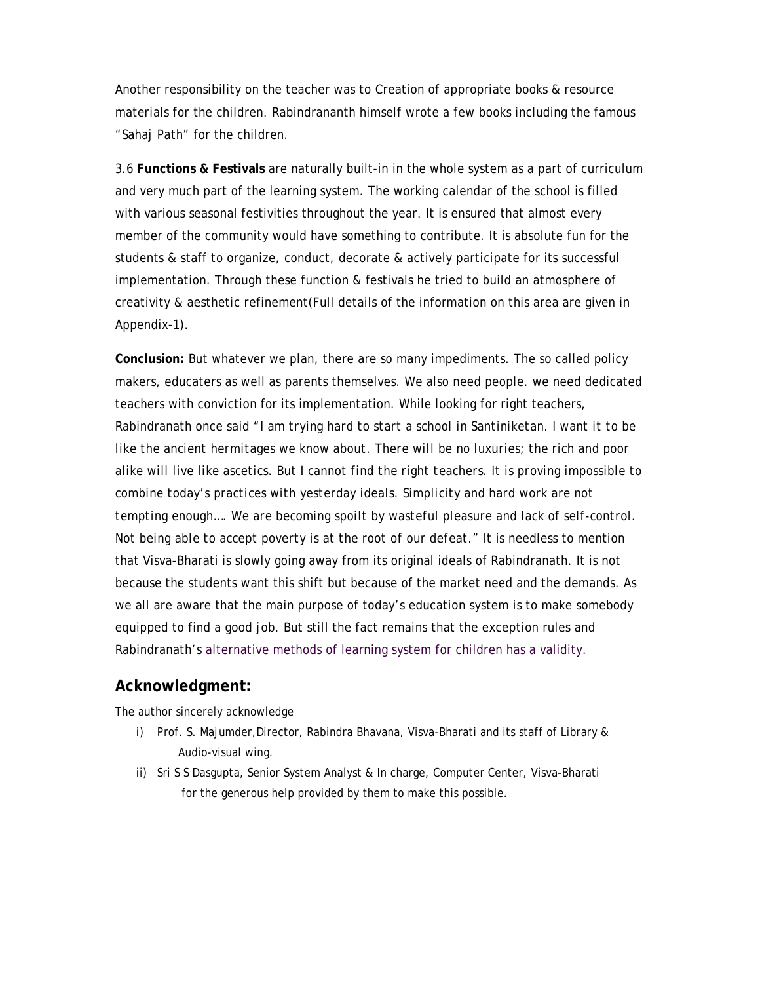Another responsibility on the teacher was to Creation of appropriate books & resource materials for the children. Rabindrananth himself wrote a few books including the famous "Sahaj Path" for the children.

3.6 **Functions & Festivals** are naturally built-in in the whole system as a part of curriculum and very much part of the learning system. The working calendar of the school is filled with various seasonal festivities throughout the year. It is ensured that almost every member of the community would have something to contribute. It is absolute fun for the students & staff to organize, conduct, decorate & actively participate for its successful implementation. Through these function & festivals he tried to build an atmosphere of creativity & aesthetic refinement(Full details of the information on this area are given in Appendix-1).

**Conclusion:** But whatever we plan, there are so many impediments. The so called policy makers, educaters as well as parents themselves. We also need people. we need dedicated teachers with conviction for its implementation. While looking for right teachers, Rabindranath once said "*I am trying hard to start a school in Santiniketan. I want it to be like the ancient hermitages we know about. There will be no luxuries; the rich and poor alike will live like ascetics. But I cannot find the right teachers. It is proving impossible to combine today's practices with yesterday ideals. Simplicity and hard work are not tempting enough…. We are becoming spoilt by wasteful pleasure and lack of self-control. Not being able to accept poverty is at the root of our defeat."* It is needless to mention that Visva-Bharati is slowly going away from its original ideals of Rabindranath. It is not because the students want this shift but because of the market need and the demands. As we all are aware that the main purpose of today's education system is to make somebody equipped to find a good job. But still the fact remains that the exception rules and Rabindranath's alternative methods of learning system for children has a validity.

### **Acknowledgment:**

The author sincerely acknowledge

- i) Prof. S. Majumder,Director, Rabindra Bhavana, Visva-Bharati and its staff of Library & Audio-visual wing.
- ii) Sri S S Dasgupta, Senior System Analyst & In charge, Computer Center, Visva-Bharati for the generous help provided by them to make this possible.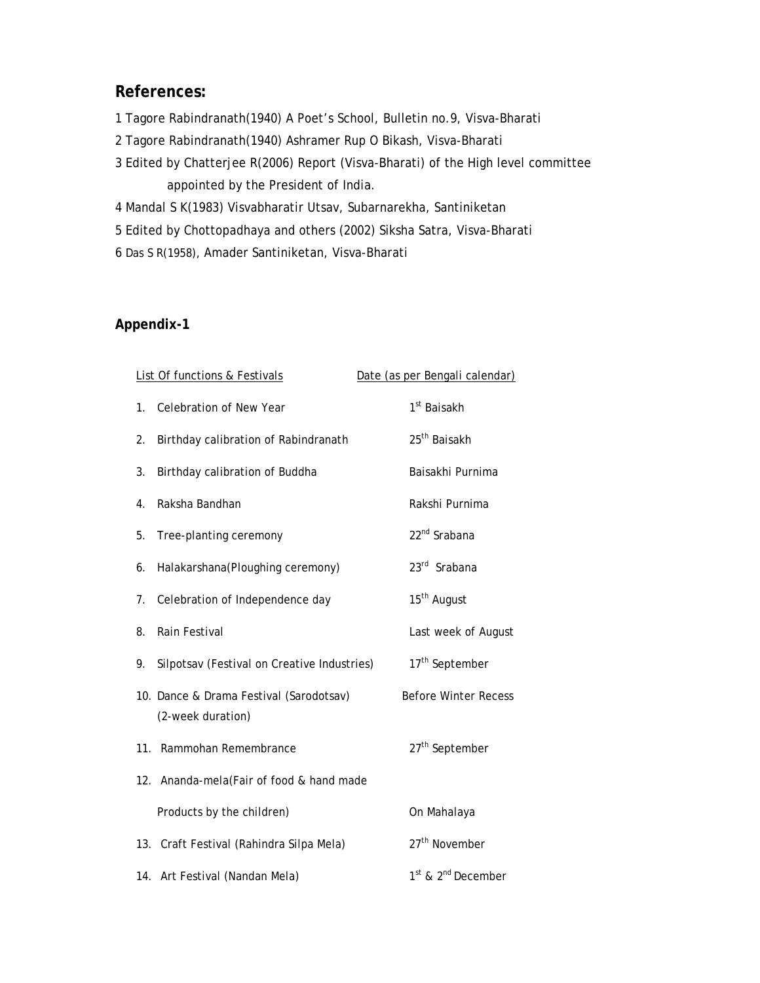## **References:**

- 1 Tagore Rabindranath(1940) A Poet's School, Bulletin no.9, Visva-Bharati
- 2 Tagore Rabindranath(1940) Ashramer Rup O Bikash, Visva-Bharati
- 3 Edited by Chatterjee R(2006) Report (Visva-Bharati) of the High level committee appointed by the President of India.
- 4 Mandal S K(1983) Visvabharatir Utsav, Subarnarekha, Santiniketan
- 5 Edited by Chottopadhaya and others (2002) Siksha Satra, Visva-Bharati
- 6 Das S R(1958), Amader Santiniketan, Visva-Bharati

## **Appendix-1**

|             | <b>List Of functions &amp; Festivals</b>                     | Date (as per Bengali calendar)             |
|-------------|--------------------------------------------------------------|--------------------------------------------|
| $1_{\cdot}$ | Celebration of New Year                                      | 1 <sup>st</sup> Baisakh                    |
| 2.          | Birthday calibration of Rabindranath                         | 25 <sup>th</sup> Baisakh                   |
| 3.          | Birthday calibration of Buddha                               | Baisakhi Purnima                           |
| 4.          | Raksha Bandhan                                               | Rakshi Purnima                             |
| 5.          | Tree-planting ceremony                                       | 22 <sup>nd</sup> Srabana                   |
| 6.          | Halakarshana(Ploughing ceremony)                             | 23rd Srabana                               |
| 7.          | Celebration of Independence day                              | 15 <sup>th</sup> August                    |
| 8.          | Rain Festival                                                | Last week of August                        |
| 9.          | Silpotsav (Festival on Creative Industries)                  | 17 <sup>th</sup> September                 |
|             | 10. Dance & Drama Festival (Sarodotsav)<br>(2-week duration) | <b>Before Winter Recess</b>                |
|             | 11. Rammohan Remembrance                                     | 27 <sup>th</sup> September                 |
|             | 12. Ananda-mela (Fair of food & hand made                    |                                            |
|             | Products by the children)                                    | On Mahalaya                                |
|             | 13. Craft Festival (Rahindra Silpa Mela)                     | 27 <sup>th</sup> November                  |
|             | 14. Art Festival (Nandan Mela)                               | 1 <sup>st</sup> & 2 <sup>nd</sup> December |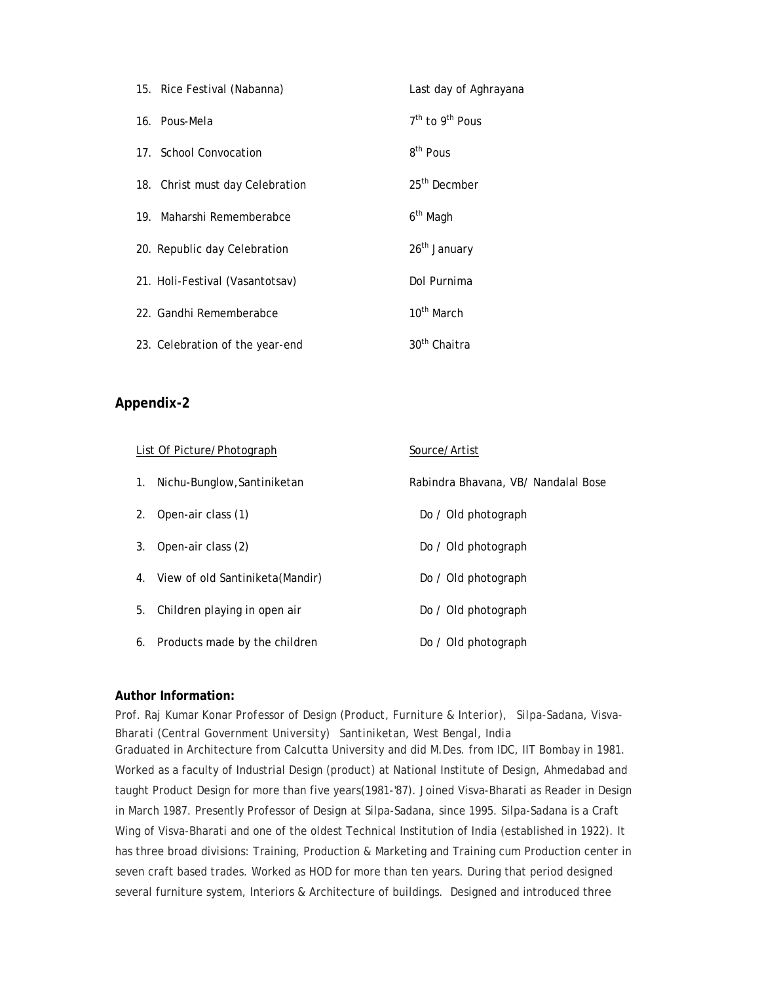| 15. Rice Festival (Nabanna)     | Last day of Aghrayana         |
|---------------------------------|-------------------------------|
| 16. Pous-Mela                   | $7th$ to 9 <sup>th</sup> Pous |
| 17. School Convocation          | 8 <sup>th</sup> Pous          |
| 18. Christ must day Celebration | 25 <sup>th</sup> Decmber      |
| 19. Maharshi Rememberabce       | 6 <sup>th</sup> Magh          |
| 20. Republic day Celebration    | 26 <sup>th</sup> January      |
| 21. Holi-Festival (Vasantotsav) | Dol Purnima                   |
| 22. Gandhi Rememberabce         | 10 <sup>th</sup> March        |
| 23. Celebration of the year-end | 30 <sup>th</sup> Chaitra      |

### **Appendix-2**

|    | List Of Picture/Photograph          | Source/Artist                       |
|----|-------------------------------------|-------------------------------------|
| 1. | Nichu-Bunglow, Santiniketan         | Rabindra Bhavana, VB/ Nandalal Bose |
| 2. | Open-air class (1)                  | Do / Old photograph                 |
| 3. | Open-air class (2)                  | Do / Old photograph                 |
|    | 4. View of old Santiniketa (Mandir) | Do / Old photograph                 |
| 5. | Children playing in open air        | Do / Old photograph                 |
| 6. | Products made by the children       | Do / Old photograph                 |

#### **Author Information:**

Prof. Raj Kumar Konar *Professor of Design (Product, Furniture & Interior), Silpa-Sadana, Visva-Bharati (Central Government University) Santiniketan, West Bengal, India* Graduated in Architecture from Calcutta University and did M.Des. from IDC, IIT Bombay in 1981.

Worked as a faculty of Industrial Design (product) at National Institute of Design, Ahmedabad and taught Product Design for more than five years(1981-'87). Joined Visva-Bharati as Reader in Design in March 1987. Presently Professor of Design at Silpa-Sadana, since 1995. Silpa-Sadana is a Craft Wing of Visva-Bharati and one of the oldest Technical Institution of India (established in 1922). It has three broad divisions: Training, Production & Marketing and Training cum Production center in seven craft based trades. Worked as HOD for more than ten years. During that period designed several furniture system, Interiors & Architecture of buildings. Designed and introduced three